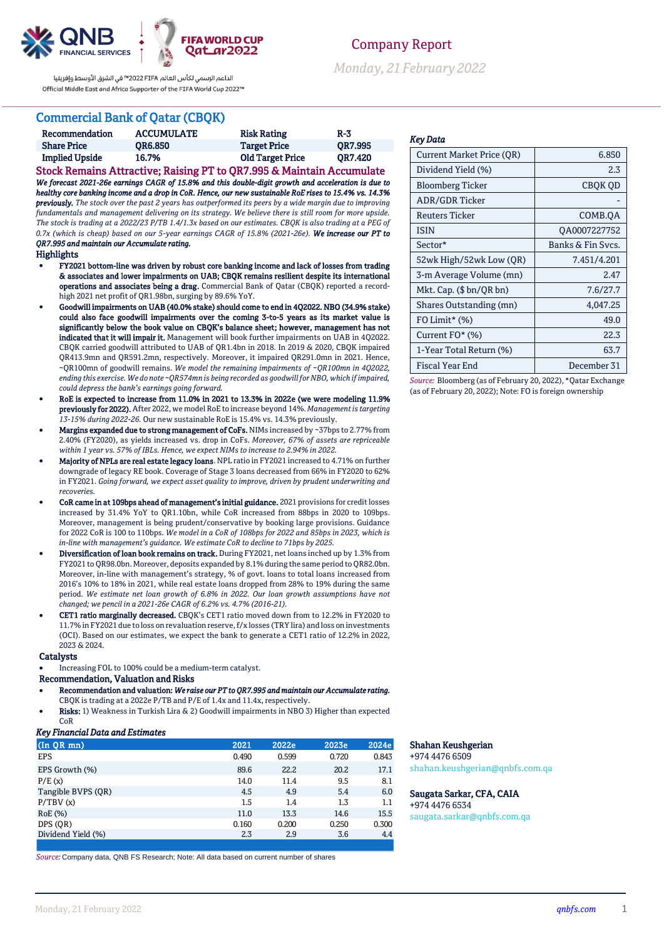

الداعم الرسمي لكأس العالم PIFA≤™ في الشرق الأوسط وإفريقيا Official Middle East and Africa Supporter of the FIFA World Cup 2022™

## Commercial Bank of Qatar (CBQK)

| Recommendation                                                        | <b>ACCUMULATE</b> | <b>Risk Rating</b>      | $R-3$   |  |  |
|-----------------------------------------------------------------------|-------------------|-------------------------|---------|--|--|
| <b>Share Price</b>                                                    | <b>OR6.850</b>    | <b>Target Price</b>     | OR7.995 |  |  |
| <b>Implied Upside</b>                                                 | 16.7%             | <b>Old Target Price</b> | OR7.420 |  |  |
| Stock Remains Attractive; Raising PT to QR7.995 & Maintain Accumulate |                   |                         |         |  |  |

*We forecast 2021-26e earnings CAGR of 15.8% and this double-digit growth and acceleration is due to healthy core banking income and a drop in CoR. Hence, our new sustainable RoE rises to 15.4% vs. 14.3% previously. The stock over the past 2 years has outperformed its peers by a wide margin due to improving fundamentals and management delivering on its strategy. We believe there is still room for more upside. The stock is trading at a 2022/23 P/TB 1.4/1.3x based on our estimates. CBQK is also trading at a PEG of 0.7x (which is cheap) based on our 5-year earnings CAGR of 15.8% (2021-26e). We increase our PT to QR7.995 and maintain our Accumulate rating.* 

#### Highlights

- FY2021 bottom-line was driven by robust core banking income and lack of losses from trading & associates and lower impairments on UAB; CBQK remains resilient despite its international operations and associates being a drag. Commercial Bank of Qatar (CBQK) reported a recordhigh 2021 net profit of QR1.98bn, surging by 89.6% YoY.
- Goodwill impairments on UAB (40.0% stake) should come to end in 4Q2022. NBO (34.9% stake) could also face goodwill impairments over the coming 3-to-5 years as its market value is significantly below the book value on CBQK's balance sheet; however, management has not indicated that it will impair it. Management will book further impairments on UAB in 4Q2022. CBQK carried goodwill attributed to UAB of QR1.4bn in 2018. In 2019 & 2020, CBQK impaired QR413.9mn and QR591.2mn, respectively. Moreover, it impaired QR291.0mn in 2021. Hence, ~QR100mn of goodwill remains. *We model the remaining impairments of ~QR100mn in 4Q2022, ending this exercise. We do note ~QR574mn is being recorded as goodwill for NBO, which if impaired, could depress the bank's earnings going forward.*
- RoE is expected to increase from 11.0% in 2021 to 13.3% in 2022e (we were modeling 11.9% previously for 2022). After 2022, we model RoE to increase beyond 14%. *Management is targeting 13-15% during 2022-26.* Our new sustainable RoE is 15.4% vs. 14.3% previously.
- Margins expanded due to strong management of CoFs. NIMs increased by ~37bps to 2.77% from 2.40% (FY2020), as yields increased vs. drop in CoFs. *Moreover, 67% of assets are repriceable within 1 year vs. 57% of IBLs. Hence, we expect NIMs to increase to 2.94% in 2022.*
- Majority of NPLs are real estate legacy loans. NPL ratio in FY2021 increased to 4.71% on further downgrade of legacy RE book. Coverage of Stage 3 loans decreased from 66% in FY2020 to 62% in FY2021. *Going forward, we expect asset quality to improve, driven by prudent underwriting and recoveries.*
- CoR came in at 109bps ahead of management's initial guidance. 2021 provisions for credit losses increased by 31.4% YoY to QR1.10bn, while CoR increased from 88bps in 2020 to 109bps. Moreover, management is being prudent/conservative by booking large provisions. Guidance for 2022 CoR is 100 to 110bps. *We model in a CoR of 108bps for 2022 and 85bps in 2023, which is in-line with management's guidance. We estimate CoR to decline to 71bps by 2025.*
- Diversification of loan book remains on track. During FY2021, net loans inched up by 1.3% from FY2021 to QR98.0bn. Moreover, deposits expanded by 8.1% during the same period to QR82.0bn. Moreover, in-line with management's strategy, % of govt. loans to total loans increased from 2016's 10% to 18% in 2021, while real estate loans dropped from 28% to 19% during the same period. *We estimate net loan growth of 6.8% in 2022. Our loan growth assumptions have not changed; we pencil in a 2021-26e CAGR of 6.2% vs. 4.7% (2016-21).*
- CET1 ratio marginally decreased. CBQK's CET1 ratio moved down from to 12.2% in FY2020 to 11.7% in FY2021 due to loss on revaluation reserve, f/x losses (TRY lira) and loss on investments (OCI). Based on our estimates, we expect the bank to generate a CET1 ratio of 12.2% in 2022, 2023 & 2024.

#### **Catalysts**

- Increasing FOL to 100% could be a medium-term catalyst.
- Recommendation, Valuation and Risks
- Recommendation and valuation: *We raise our PT to QR7.995 and maintain our Accumulate rating.* CBQK is trading at a 2022e P/TB and P/E of 1.4x and 11.4x, respectively.
- Risks: 1) Weakness in Turkish Lira & 2) Goodwill impairments in NBO 3) Higher than expected  $C_0R$

### *Key Financial Data and Estimates*

| $(InQR$ mn)        | 2021  | 2022e | 2023e | 2024e |
|--------------------|-------|-------|-------|-------|
| EPS                | 0.490 | 0.599 | 0.720 | 0.843 |
| EPS Growth (%)     | 89.6  | 22.2  | 20.2  | 17.1  |
| P/E(x)             | 14.0  | 11.4  | 9.5   | 8.1   |
| Tangible BVPS (OR) | 4.5   | 4.9   | 5.4   | 6.0   |
| P/TBV(x)           | 1.5   | 1.4   | 1.3   | 1.1   |
| RoE (%)            | 11.0  | 13.3  | 14.6  | 15.5  |
| DPS (OR)           | 0.160 | 0.200 | 0.250 | 0.300 |
| Dividend Yield (%) | 2.3   | 2.9   | 3.6   | 4.4   |
|                    |       |       |       |       |

*Source:* Company data, QNB FS Research; Note: All data based on current number of shares

### *Key Data*

| Current Market Price (QR) | 6.850             |
|---------------------------|-------------------|
| Dividend Yield (%)        | 2.3               |
| Bloomberg Ticker          | CBOK OD           |
| <b>ADR/GDR Ticker</b>     |                   |
| Reuters Ticker            | COMB.QA           |
| <b>ISIN</b>               | QA0007227752      |
| Sector*                   | Banks & Fin Sycs. |
| 52wk High/52wk Low (QR)   | 7.451/4.201       |
| 3-m Average Volume (mn)   | 2.47              |
| Mkt. Cap. (\$ bn/QR bn)   | 7.6/27.7          |
| Shares Outstanding (mn)   | 4,047.25          |
| $FO$ Limit* $(\%)$        | 49.0              |
| Current FO* (%)           | 22.3              |
| 1-Year Total Return (%)   | 63.7              |
| <b>Fiscal Year End</b>    | December 31       |

*Source:* Bloomberg (as of February 20, 2022), \*Qatar Exchange (as of February 20, 2022); Note: FO is foreign ownership

## Shahan Keushgerian

+974 4476 6509 shahan.keushgerian@qnbfs.com.qa

## Saugata Sarkar, CFA, CAIA

+974 4476 6534 saugata.sarkar@qnbfs.com.qa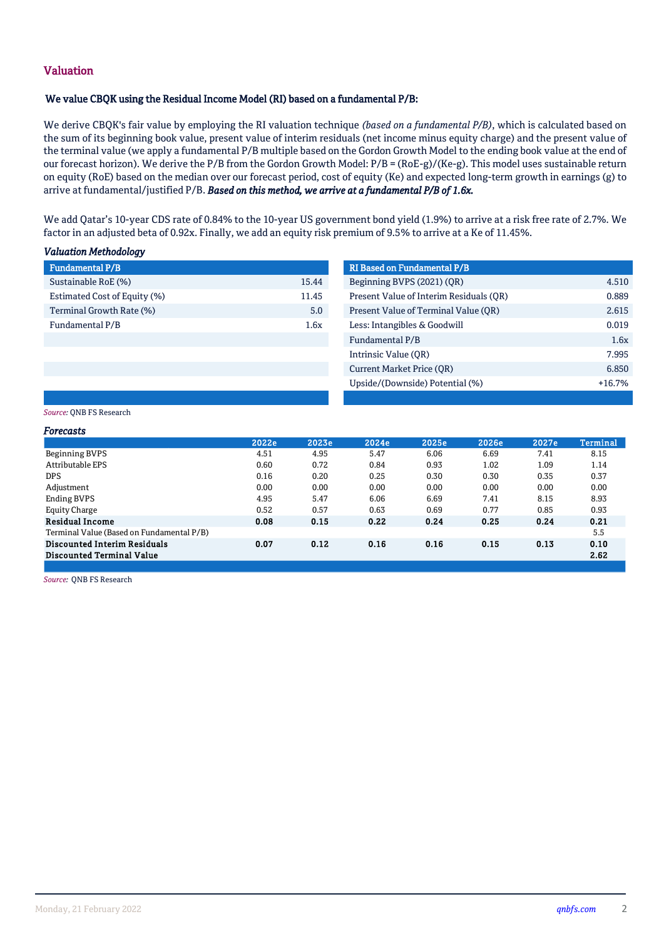# Valuation

## We value CBQK using the Residual Income Model (RI) based on a fundamental P/B:

We derive CBQK's fair value by employing the RI valuation technique *(based on a fundamental P/B)*, which is calculated based on the sum of its beginning book value, present value of interim residuals (net income minus equity charge) and the present value of the terminal value (we apply a fundamental P/B multiple based on the Gordon Growth Model to the ending book value at the end of our forecast horizon). We derive the P/B from the Gordon Growth Model: P/B = (RoE-g)/(Ke-g). This model uses sustainable return on equity (RoE) based on the median over our forecast period, cost of equity (Ke) and expected long-term growth in earnings (g) to arrive at fundamental/justified P/B. *Based on this method, we arrive at a fundamental P/B of 1.6x.*

b) We add Qatar's 10-year CDS rate of 0.84% to the 10-year US government bond yield (1.9%) to arrive at a risk free rate of 2.7%. We factor in an adjusted beta of 0.92x. Finally, we add an equity risk premium of 9.5% to arrive at a Ke of 11.45%.

### *Valuation Methodology*

| <b>Fundamental P/B</b>       |       | <b>RI Based on Fundamental P/B</b> |
|------------------------------|-------|------------------------------------|
| Sustainable RoE (%)          | 15.44 | Beginning BVPS (2021) (OR)         |
| Estimated Cost of Equity (%) | 11.45 | Present Value of Interim Resid     |
| Terminal Growth Rate (%)     | 5.0   | Present Value of Terminal Val      |
| Fundamental P/B              | 1.6x  | Less: Intangibles & Goodwill       |
|                              |       | $P_{\text{total}}$                 |

| Fundamental P/B              |       | <b>RI Based on Fundamental P/B</b>      |          |
|------------------------------|-------|-----------------------------------------|----------|
| Sustainable RoE (%)          | 15.44 | Beginning BVPS (2021) (QR)              | 4.510    |
| Estimated Cost of Equity (%) | 11.45 | Present Value of Interim Residuals (OR) | 0.889    |
| Terminal Growth Rate (%)     | 5.0   | Present Value of Terminal Value (QR)    | 2.615    |
| Fundamental P/B              | 1.6x  | Less: Intangibles & Goodwill            | 0.019    |
|                              |       | Fundamental P/B                         | 1.6x     |
|                              |       | Intrinsic Value (OR)                    | 7.995    |
|                              |       | <b>Current Market Price (OR)</b>        | 6.850    |
|                              |       | Upside/(Downside) Potential (%)         | $+16.7%$ |

### *Source:* QNB FS Research

| Forecasts                                 |       |       |       |       |       |       |                 |
|-------------------------------------------|-------|-------|-------|-------|-------|-------|-----------------|
|                                           | 2022e | 2023e | 2024e | 2025e | 2026e | 2027e | <b>Terminal</b> |
| Beginning BVPS                            | 4.51  | 4.95  | 5.47  | 6.06  | 6.69  | 7.41  | 8.15            |
| Attributable EPS                          | 0.60  | 0.72  | 0.84  | 0.93  | 1.02  | 1.09  | 1.14            |
| DPS.                                      | 0.16  | 0.20  | 0.25  | 0.30  | 0.30  | 0.35  | 0.37            |
| Adjustment                                | 0.00  | 0.00  | 0.00  | 0.00  | 0.00  | 0.00  | 0.00            |
| Ending BVPS                               | 4.95  | 5.47  | 6.06  | 6.69  | 7.41  | 8.15  | 8.93            |
| Equity Charge                             | 0.52  | 0.57  | 0.63  | 0.69  | 0.77  | 0.85  | 0.93            |
| <b>Residual Income</b>                    | 0.08  | 0.15  | 0.22  | 0.24  | 0.25  | 0.24  | 0.21            |
| Terminal Value (Based on Fundamental P/B) |       |       |       |       |       |       | 5.5             |
| <b>Discounted Interim Residuals</b>       | 0.07  | 0.12  | 0.16  | 0.16  | 0.15  | 0.13  | 0.10            |
| Discounted Terminal Value                 |       |       |       |       |       |       | 2.62            |
|                                           |       |       |       |       |       |       |                 |

*Source:* QNB FS Research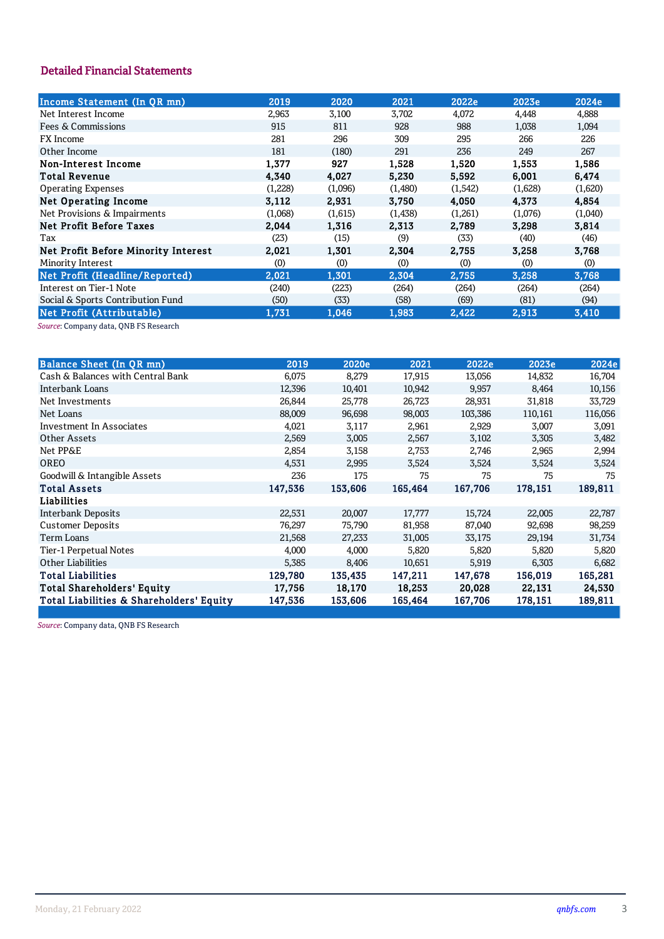# **Detailed Financial Statements**

| Income Statement (In QR mn)         | 2019    | 2020    | 2021     | 2022e    | 2023e   | 2024e   |
|-------------------------------------|---------|---------|----------|----------|---------|---------|
| Net Interest Income                 | 2,963   | 3,100   | 3,702    | 4,072    | 4,448   | 4,888   |
| Fees & Commissions                  | 915     | 811     | 928      | 988      | 1,038   | 1,094   |
| <b>FX</b> Income                    | 281     | 296     | 309      | 295      | 266     | 226     |
| Other Income                        | 181     | (180)   | 291      | 236      | 249     | 267     |
| Non-Interest Income                 | 1,377   | 927     | 1,528    | 1,520    | 1,553   | 1,586   |
| <b>Total Revenue</b>                | 4.340   | 4.027   | 5.230    | 5.592    | 6.001   | 6.474   |
| <b>Operating Expenses</b>           | (1,228) | (1,096) | (1,480)  | (1, 542) | (1,628) | (1,620) |
| <b>Net Operating Income</b>         | 3,112   | 2,931   | 3,750    | 4,050    | 4,373   | 4,854   |
| Net Provisions & Impairments        | (1,068) | (1,615) | (1, 438) | (1,261)  | (1,076) | (1,040) |
| <b>Net Profit Before Taxes</b>      | 2.044   | 1,316   | 2.313    | 2.789    | 3.298   | 3.814   |
| Tax                                 | (23)    | (15)    | (9)      | (33)     | (40)    | (46)    |
| Net Profit Before Minority Interest | 2,021   | 1,301   | 2,304    | 2,755    | 3,258   | 3,768   |
| Minority Interest                   | (0)     | (0)     | (0)      | (0)      | (0)     | (0)     |
| Net Profit (Headline/Reported)      | 2,021   | 1,301   | 2,304    | 2,755    | 3,258   | 3,768   |
| Interest on Tier-1 Note             | (240)   | (223)   | (264)    | (264)    | (264)   | (264)   |
| Social & Sports Contribution Fund   | (50)    | (33)    | (58)     | (69)     | (81)    | (94)    |
| Net Profit (Attributable)           | 1,731   | 1,046   | 1,983    | 2,422    | 2,913   | 3,410   |
|                                     |         |         |          |          |         |         |

Source: Company data, QNB FS Research

| <b>Balance Sheet (In QR mn)</b>          | 2019    | 2020e   | 2021    | 2022e   | 2023e   | 2024e   |
|------------------------------------------|---------|---------|---------|---------|---------|---------|
| Cash & Balances with Central Bank        | 6,075   | 8,279   | 17,915  | 13,056  | 14,832  | 16,704  |
| Interbank Loans                          | 12,396  | 10,401  | 10,942  | 9,957   | 8,464   | 10,156  |
| Net Investments                          | 26,844  | 25,778  | 26,723  | 28,931  | 31,818  | 33,729  |
| Net Loans                                | 88,009  | 96,698  | 98,003  | 103,386 | 110,161 | 116,056 |
| Investment In Associates                 | 4,021   | 3,117   | 2,961   | 2,929   | 3,007   | 3,091   |
| Other Assets                             | 2,569   | 3,005   | 2,567   | 3,102   | 3,305   | 3,482   |
| Net PP&E                                 | 2,854   | 3,158   | 2,753   | 2,746   | 2,965   | 2,994   |
| <b>OREO</b>                              | 4,531   | 2,995   | 3,524   | 3,524   | 3,524   | 3,524   |
| Goodwill & Intangible Assets             | 236     | 175     | 75      | 75      | 75      | 75      |
| <b>Total Assets</b>                      | 147,536 | 153,606 | 165,464 | 167,706 | 178,151 | 189,811 |
| Liabilities                              |         |         |         |         |         |         |
| Interbank Deposits                       | 22,531  | 20,007  | 17,777  | 15,724  | 22,005  | 22,787  |
| <b>Customer Deposits</b>                 | 76,297  | 75,790  | 81,958  | 87,040  | 92,698  | 98,259  |
| Term Loans                               | 21,568  | 27,233  | 31,005  | 33,175  | 29,194  | 31,734  |
| Tier-1 Perpetual Notes                   | 4,000   | 4,000   | 5,820   | 5,820   | 5,820   | 5,820   |
| <b>Other Liabilities</b>                 | 5,385   | 8,406   | 10,651  | 5,919   | 6,303   | 6,682   |
| <b>Total Liabilities</b>                 | 129,780 | 135,435 | 147,211 | 147,678 | 156,019 | 165,281 |
| <b>Total Shareholders' Equity</b>        | 17,756  | 18,170  | 18,253  | 20,028  | 22,131  | 24,530  |
| Total Liabilities & Shareholders' Equity | 147,536 | 153,606 | 165,464 | 167,706 | 178,151 | 189,811 |
|                                          |         |         |         |         |         |         |

Source: Company data, QNB FS Research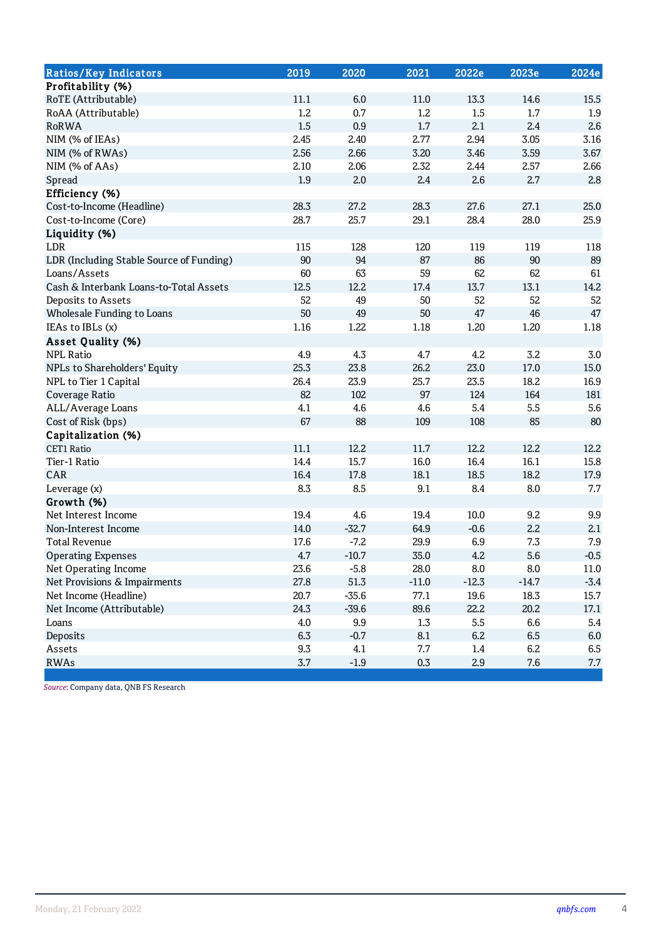| <b>Ratios/Key Indicators</b>             | 2019             | 2020    | 2021    | 2022e   | 2023e     | 2024e    |
|------------------------------------------|------------------|---------|---------|---------|-----------|----------|
| Profitability (%)                        |                  |         |         |         |           |          |
| RoTE (Attributable)                      | 11.1             | 6.0     | 11.0    | 13.3    | 14.6      | 15.5     |
| RoAA (Attributable)                      | $1.2\phantom{0}$ | 0.7     | 1.2     | 1.5     | 1.7       | 1.9      |
| <b>RoRWA</b>                             | 1.5              | 0.9     | 1.7     | 2.1     | 2.4       | 2.6      |
| NIM (% of IEAs)                          | 2.45             | 2.40    | 2.77    | 2.94    | 3.05      | 3.16     |
| NIM (% of RWAs)                          | 2.56             | 2.66    | 3.20    | 3.46    | 3.59      | 3.67     |
| NIM (% of AAs)                           | 2.10             | 2.06    | 2.32    | 2.44    | 2.57      | 2.66     |
| Spread                                   | 1.9              | 2.0     | 2.4     | 2.6     | 2.7       | 2.8      |
| Efficiency (%)                           |                  |         |         |         |           |          |
| Cost-to-Income (Headline)                | 28.3             | 27.2    | 28.3    | 27.6    | 27.1      | 25.0     |
| Cost-to-Income (Core)                    | 28.7             | 25.7    | 29.1    | 28.4    | 28.0      | 25.9     |
| Liquidity (%)                            |                  |         |         |         |           |          |
| LDR                                      | 115              | 128     | 120     | 119     | 119       | 118      |
| LDR (Including Stable Source of Funding) | 90               | 94      | 87      | 86      | 90        | 89       |
| Loans/Assets                             | 60               | 63      | 59      | 62      | 62        | 61       |
| Cash & Interbank Loans-to-Total Assets   | 12.5             | 12.2    | 17.4    | 13.7    | 13.1      | 14.2     |
| Deposits to Assets                       | 52               | 49      | 50      | 52      | 52        | 52       |
| Wholesale Funding to Loans               | 50               | 49      | 50      | 47      | 46        | 47       |
| IEAs to IBLs (x)                         | 1.16             | 1.22    | 1.18    | 1.20    | 1.20      | 1.18     |
| <b>Asset Quality (%)</b>                 |                  |         |         |         |           |          |
| <b>NPL Ratio</b>                         | 4.9              | 4.3     | 4.7     | 4.2     | 3.2       | $3.0\,$  |
| NPLs to Shareholders' Equity             | 25.3             | 23.8    | 26.2    | 23.0    | 17.0      | 15.0     |
| NPL to Tier 1 Capital                    | 26.4             | 23.9    | 25.7    | 23.5    | 18.2      | 16.9     |
| Coverage Ratio                           | 82               | 102     | 97      | 124     | 164       | 181      |
| ALL/Average Loans                        | 4.1              | 4.6     | 4.6     | 5.4     | 5.5       | 5.6      |
| Cost of Risk (bps)                       | 67               | 88      | 109     | 108     | 85        | 80       |
| Capitalization (%)                       |                  |         |         |         |           |          |
| <b>CET1 Ratio</b>                        | 11.1             | 12.2    | 11.7    | 12.2    | 12.2      | 12.2     |
| Tier-1 Ratio                             | 14.4             | 15.7    | 16.0    | 16.4    | 16.1      | 15.8     |
| CAR                                      | 16.4             | 17.8    | 18.1    | 18.5    | 18.2      | 17.9     |
| Leverage (x)                             | 8.3              | 8.5     | 9.1     | 8.4     | 8.0       | 7.7      |
| Growth (%)                               |                  |         |         |         |           |          |
| Net Interest Income                      | 19.4             | 4.6     | 19.4    | 10.0    | 9.2       | 9.9      |
| Non-Interest Income                      | 14.0             | $-32.7$ | 64.9    | $-0.6$  | 2.2       | 2.1      |
| <b>Total Revenue</b>                     | 17.6             | $-7.2$  | 29.9    | 6.9     | 7.3       | 7.9      |
| <b>Operating Expenses</b>                | 4.7              | $-10.7$ | 35.0    | 4.2     | 5.6       | $-0.5$   |
| Net Operating Income                     | 23.6             | $-5.8$  | 28.0    | $8.0\,$ | $\rm 8.0$ | $11.0\,$ |
| Net Provisions & Impairments             | 27.8             | 51.3    | $-11.0$ | $-12.3$ | $-14.7$   | $-3.4$   |
| Net Income (Headline)                    | 20.7             | $-35.6$ | 77.1    | 19.6    | 18.3      | 15.7     |
| Net Income (Attributable)                | 24.3             | $-39.6$ | 89.6    | 22.2    | 20.2      | 17.1     |
| Loans                                    | 4.0              | 9.9     | 1.3     | 5.5     | 6.6       | 5.4      |
| Deposits                                 | 6.3              | $-0.7$  | 8.1     | 6.2     | 6.5       | $6.0\,$  |
| Assets                                   | 9.3              | 4.1     | 7.7     | 1.4     | 6.2       | 6.5      |
| <b>RWAs</b>                              | 3.7              | $-1.9$  | $0.3\,$ | 2.9     | 7.6       | 7.7      |

Source: Company data, QNB FS Research